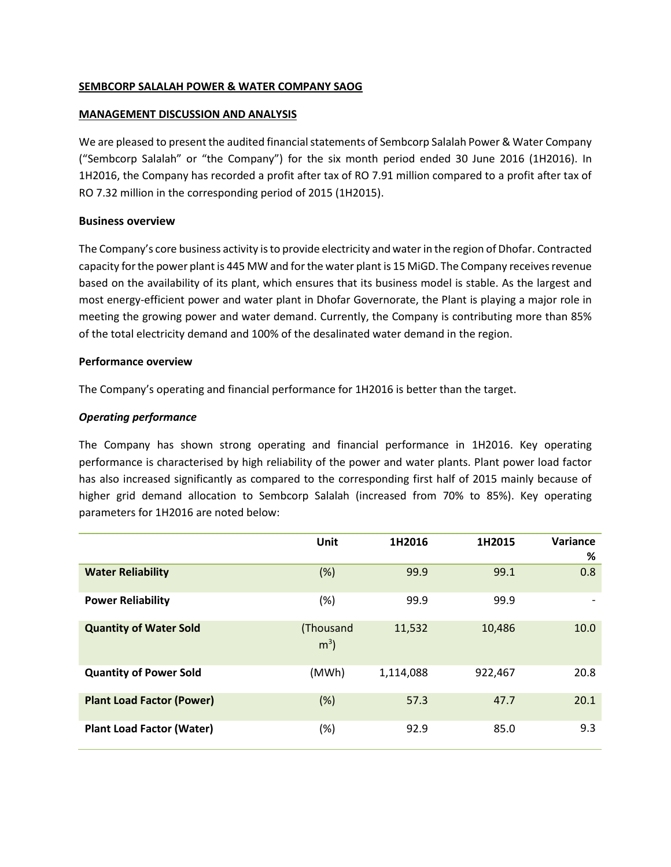## **SEMBCORP SALALAH POWER & WATER COMPANY SAOG**

## **MANAGEMENT DISCUSSION AND ANALYSIS**

We are pleased to present the audited financial statements of Sembcorp Salalah Power & Water Company ("Sembcorp Salalah" or "the Company") for the six month period ended 30 June 2016 (1H2016). In 1H2016, the Company has recorded a profit after tax of RO 7.91 million compared to a profit after tax of RO 7.32 million in the corresponding period of 2015 (1H2015).

## **Business overview**

The Company's core business activity is to provide electricity and water in the region of Dhofar. Contracted capacity forthe power plant is 445 MW and for the water plant is 15 MiGD. The Company receives revenue based on the availability of its plant, which ensures that its business model is stable. As the largest and most energy-efficient power and water plant in Dhofar Governorate, the Plant is playing a major role in meeting the growing power and water demand. Currently, the Company is contributing more than 85% of the total electricity demand and 100% of the desalinated water demand in the region.

## **Performance overview**

The Company's operating and financial performance for 1H2016 is better than the target.

# *Operating performance*

The Company has shown strong operating and financial performance in 1H2016. Key operating performance is characterised by high reliability of the power and water plants. Plant power load factor has also increased significantly as compared to the corresponding first half of 2015 mainly because of higher grid demand allocation to Sembcorp Salalah (increased from 70% to 85%). Key operating parameters for 1H2016 are noted below:

|                                  | Unit                        | 1H2016    | 1H2015  | Variance        |
|----------------------------------|-----------------------------|-----------|---------|-----------------|
|                                  |                             |           |         | %               |
| <b>Water Reliability</b>         | (%)                         | 99.9      | 99.1    | 0.8             |
| <b>Power Reliability</b>         | (%)                         | 99.9      | 99.9    | $\qquad \qquad$ |
| <b>Quantity of Water Sold</b>    | (Thousand<br>m <sup>3</sup> | 11,532    | 10,486  | 10.0            |
| <b>Quantity of Power Sold</b>    | (MWh)                       | 1,114,088 | 922,467 | 20.8            |
| <b>Plant Load Factor (Power)</b> | (%)                         | 57.3      | 47.7    | 20.1            |
| <b>Plant Load Factor (Water)</b> | (%)                         | 92.9      | 85.0    | 9.3             |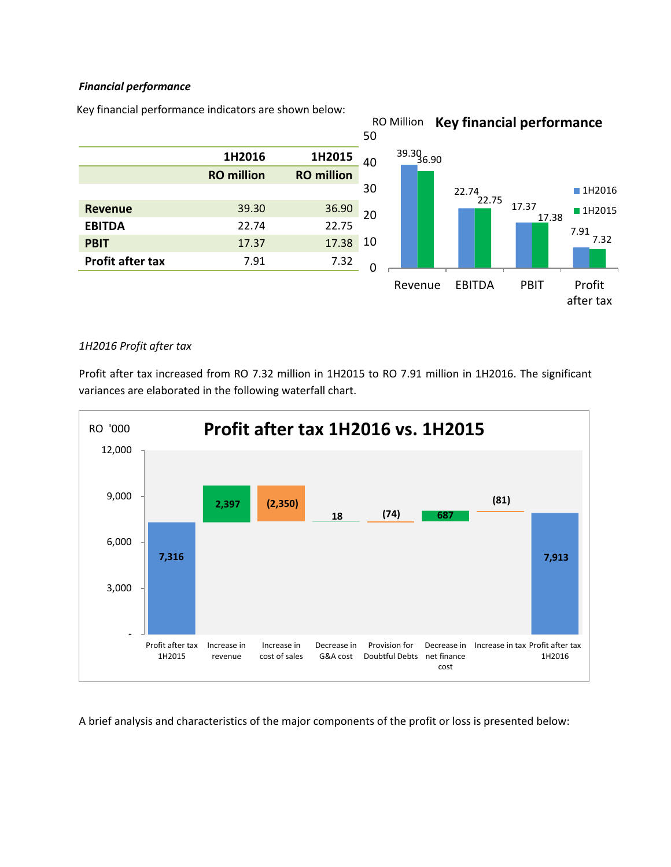# *Financial performance*

Key financial performance indicators are shown below:



## *1H2016 Profit after tax*

Profit after tax increased from RO 7.32 million in 1H2015 to RO 7.91 million in 1H2016. The significant variances are elaborated in the following waterfall chart.



A brief analysis and characteristics of the major components of the profit or loss is presented below: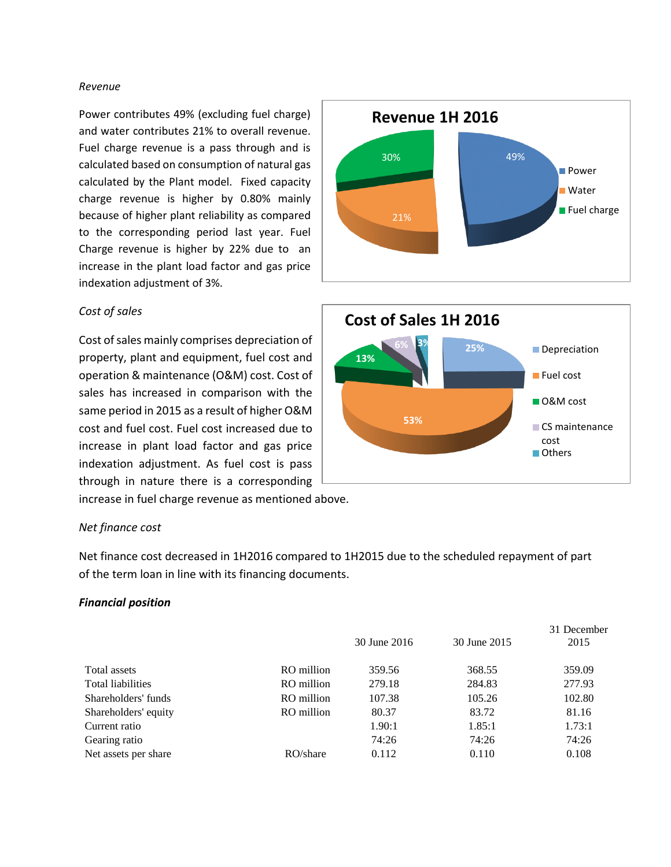#### *Revenue*

Power contributes 49% (excluding fuel charge) and water contributes 21% to overall revenue. Fuel charge revenue is a pass through and is calculated based on consumption of natural gas calculated by the Plant model. Fixed capacity charge revenue is higher by 0.80% mainly because of higher plant reliability as compared to the corresponding period last year. Fuel Charge revenue is higher by 22% due to an increase in the plant load factor and gas price indexation adjustment of 3%.

#### *Cost of sales*

Cost of sales mainly comprises depreciation of property, plant and equipment, fuel cost and operation & maintenance (O&M) cost. Cost of sales has increased in comparison with the same period in 2015 as a result of higher O&M cost and fuel cost. Fuel cost increased due to increase in plant load factor and gas price indexation adjustment. As fuel cost is pass through in nature there is a corresponding

increase in fuel charge revenue as mentioned above.

## *Net finance cost*

Net finance cost decreased in 1H2016 compared to 1H2015 due to the scheduled repayment of part of the term loan in line with its financing documents.

## *Financial position*

|                      |            |              |              | 31 December |
|----------------------|------------|--------------|--------------|-------------|
|                      |            | 30 June 2016 | 30 June 2015 | 2015        |
| Total assets         | RO million | 359.56       | 368.55       | 359.09      |
| Total liabilities    | RO million | 279.18       | 284.83       | 277.93      |
| Shareholders' funds  | RO million | 107.38       | 105.26       | 102.80      |
| Shareholders' equity | RO million | 80.37        | 83.72        | 81.16       |
| Current ratio        |            | 1.90:1       | 1.85:1       | 1.73:1      |
| Gearing ratio        |            | 74:26        | 74:26        | 74:26       |
| Net assets per share | RO/share   | 0.112        | 0.110        | 0.108       |